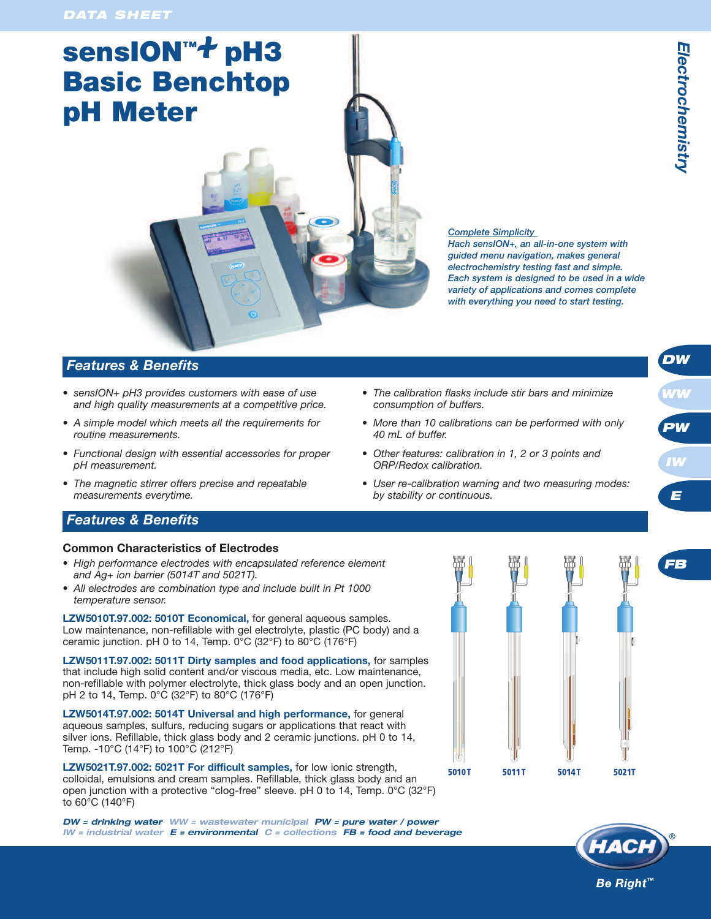# **sensION™***+* **pH3 Basic Benchtop pH Meter**



*Hach sensION+, an all-in-one system with guided menu navigation, makes general electrochemistry testing fast and simple. Each system is designed to be used in a wide variety of applications and comes complete with everything you need to start testing.*

## *Features & Benefits*

- *• sensION+ pH3 provides customers with ease of use and high quality measurements at a competitive price.*
- *• A simple model which meets all the requirements for routine measurements.*
- *• Functional design with essential accessories for proper pH measurement.*
- *• The magnetic stirrer offers precise and repeatable measurements everytime.*
- *• The calibration flasks include stir bars and minimize consumption of buffers.*
- *• More than 10 calibrations can be performed with only 40 mL of buffer.*
- *• Other features: calibration in 1, 2 or 3 points and ORP/Redox calibration.*
- *• User re-calibration warning and two measuring modes: by stability or continuous.*

# *Features & Benefits*

#### **Common Characteristics of Electrodes**

- *• High performance electrodes with encapsulated reference element and Ag+ ion barrier (5014T and 5021T).*
- *• All electrodes are combination type and include built in Pt 1000 temperature sensor.*

**LZW5010T.97.002: 5010T Economical,** for general aqueous samples. Low maintenance, non-refillable with gel electrolyte, plastic (PC body) and a ceramic junction. pH 0 to 14, Temp. 0°C (32°F) to 80°C (176°F)

**LZW5011T.97.002: 5011T Dirty samples and food applications,** for samples that include high solid content and/or viscous media, etc. Low maintenance, non-refillable with polymer electrolyte, thick glass body and an open junction. pH 2 to 14, Temp. 0°C (32°F) to 80°C (176°F)

**LZW5014T.97.002: 5014T Universal and high performance,** for general aqueous samples, sulfurs, reducing sugars or applications that react with silver ions. Refillable, thick glass body and 2 ceramic junctions. pH 0 to 14, Temp. -10°C (14°F) to 100°C (212°F)

**LZW5021T.97.002: 5021T For difficult samples,** for low ionic strength, colloidal, emulsions and cream samples. Refillable, thick glass body and an open junction with a protective "clog-free" sleeve. pH 0 to 14, Temp. 0°C (32°F) to 60°C (140°F)

*DW = drinking water WW = wastewater municipal PW = pure water / power IW = industrial water E = environmental C = collections FB = food and beverage*





*DW*

*WW*

*PW*

*IW*

*E*

*FB*